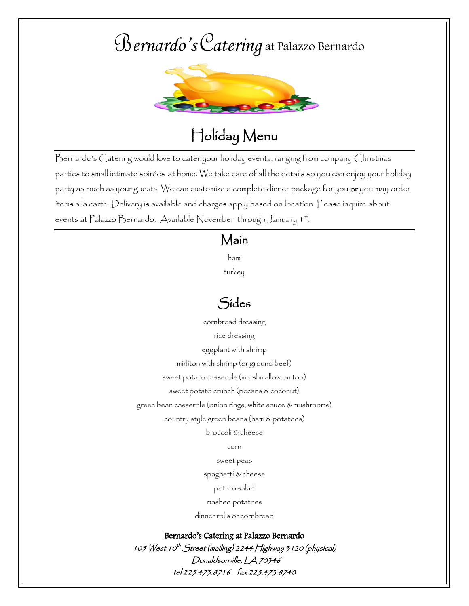## B*ernardo's*C*atering* at Palazzo Bernardo



## Holiday Menu

Bernardo's Catering would love to cater your holiday events, ranging from company Christmas parties to small intimate soirées at home. We take care of all the details so you can enjoy your holiday party as much as your guests. We can customize a complete dinner package for you **or** you may order items a la carte. Delivery is available and charges apply based on location. Please inquire about events at Palazzo Bernardo. Available November through January 1st.

#### Main

ham

turkey

### Sides

cornbread dressing rice dressing eggplant with shrimp mirliton with shrimp (or ground beef) sweet potato casserole (marshmallow on top) sweet potato crunch (pecans & coconut) green bean casserole (onion rings, white sauce & mushrooms) country style green beans (ham & potatoes)

broccoli & cheese

corn

sweet peas

spaghetti & cheese

potato salad

mashed potatoes

dinner rolls or cornbread

Bernardo's Catering at Palazzo Bernardo

105 West 10<sup>th</sup> Street (mailing) 2244 Highway 3 1 20 (physical) Donaldsonville, LA 70346 tel 225.473.8716 fax 225.473.8740